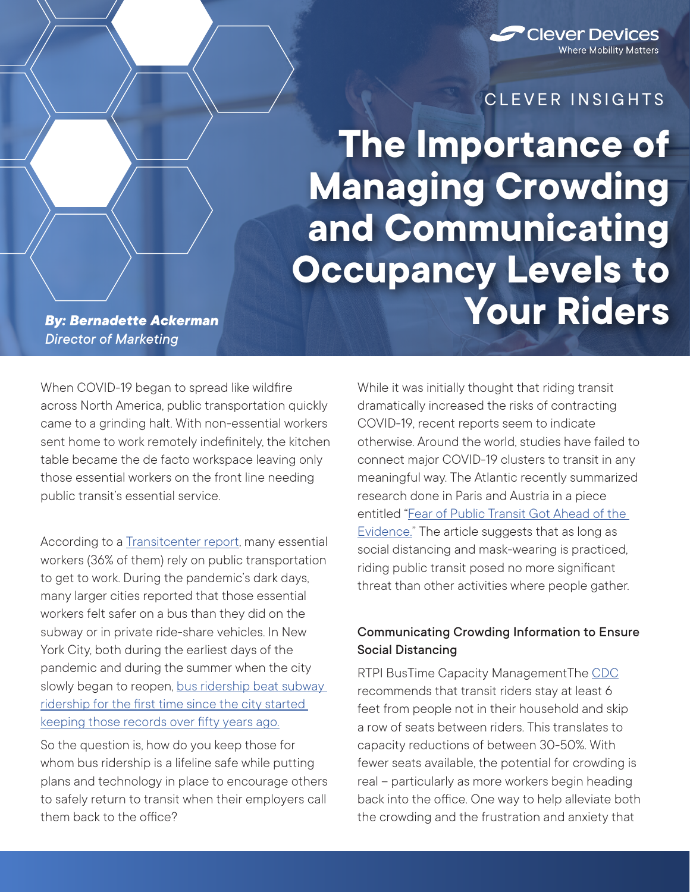

## CLEVER INSIGHTS

**The Importance of Managing Crowding and Communicating Occupancy Levels to Your Riders**

*By: Bernadette Ackerman Director of Marketing*

When COVID-19 began to spread like wildfire across North America, public transportation quickly came to a grinding halt. With non-essential workers sent home to work remotely indefinitely, the kitchen table became the de facto workspace leaving only those essential workers on the front line needing public transit's essential service.

According to a [Transitcenter report](https://transitcenter.org/2-8-million-u-s-essential-workers-ride-transit-to-their-jobs/), many essential workers (36% of them) rely on public transportation to get to work. During the pandemic's dark days, many larger cities reported that those essential workers felt safer on a bus than they did on the subway or in private ride-share vehicles. In New York City, both during the earliest days of the pandemic and during the summer when the city slowly began to reopen, bus ridership beat subway [ridership for the first time since the city started](https://www.nytimes.com/2020/07/06/nyregion/mta-buses-nyc-coronavirus.html?auth=login-email&login=email)  [keeping those records over fifty years ago.](https://www.nytimes.com/2020/07/06/nyregion/mta-buses-nyc-coronavirus.html?auth=login-email&login=email)

So the question is, how do you keep those for whom bus ridership is a lifeline safe while putting plans and technology in place to encourage others to safely return to transit when their employers call them back to the office?

While it was initially thought that riding transit dramatically increased the risks of contracting COVID-19, recent reports seem to indicate otherwise. Around the world, studies have failed to connect major COVID-19 clusters to transit in any meaningful way. The Atlantic recently summarized research done in Paris and Austria in a piece entitled ["Fear of Public Transit Got Ahead of the](https://www.theatlantic.com/ideas/archive/2020/06/fear-transit-bad-cities/612979/)  [Evidence."](https://www.theatlantic.com/ideas/archive/2020/06/fear-transit-bad-cities/612979/) The article suggests that as long as social distancing and mask-wearing is practiced, riding public transit posed no more significant threat than other activities where people gather.

## Communicating Crowding Information to Ensure Social Distancing

RTPI BusTime Capacity ManagementThe [CDC](https://www.cdc.gov/coronavirus/2019-ncov/daily-life-coping/using-transportation.html#:~:text=Follow%20social%20distancing%20guidelines%20by,at%20transit%20stations%20and%20stops.) recommends that transit riders stay at least 6 feet from people not in their household and skip a row of seats between riders. This translates to capacity reductions of between 30-50%. With fewer seats available, the potential for crowding is real – particularly as more workers begin heading back into the office. One way to help alleviate both the crowding and the frustration and anxiety that